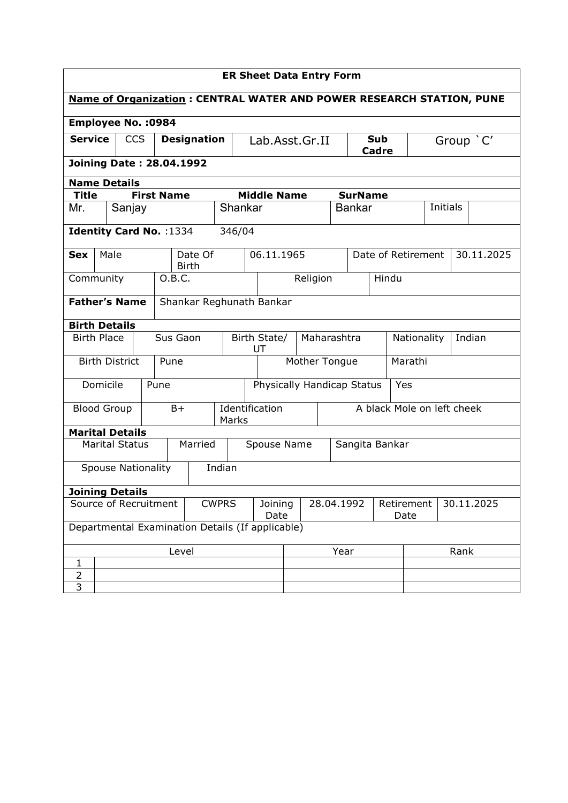| <b>ER Sheet Data Entry Form</b>                                                                            |                                     |                       |  |                    |              |         |                |                    |                            |      |                            |                            |  |      |                       |                 |  |  |  |
|------------------------------------------------------------------------------------------------------------|-------------------------------------|-----------------------|--|--------------------|--------------|---------|----------------|--------------------|----------------------------|------|----------------------------|----------------------------|--|------|-----------------------|-----------------|--|--|--|
| <b>Name of Organization: CENTRAL WATER AND POWER RESEARCH STATION, PUNE</b>                                |                                     |                       |  |                    |              |         |                |                    |                            |      |                            |                            |  |      |                       |                 |  |  |  |
| <b>Employee No. : 0984</b>                                                                                 |                                     |                       |  |                    |              |         |                |                    |                            |      |                            |                            |  |      |                       |                 |  |  |  |
| <b>CCS</b><br><b>Service</b>                                                                               |                                     |                       |  | <b>Designation</b> |              |         |                | Lab.Asst.Gr.II     |                            |      |                            | <b>Sub</b><br><b>Cadre</b> |  |      | Group `C'             |                 |  |  |  |
| <b>Joining Date: 28.04.1992</b>                                                                            |                                     |                       |  |                    |              |         |                |                    |                            |      |                            |                            |  |      |                       |                 |  |  |  |
| <b>Name Details</b><br><b>Middle Name</b><br><b>First Name</b><br><b>SurName</b>                           |                                     |                       |  |                    |              |         |                |                    |                            |      |                            |                            |  |      |                       |                 |  |  |  |
| Title                                                                                                      |                                     |                       |  |                    |              |         |                |                    |                            |      |                            |                            |  |      |                       |                 |  |  |  |
| Mr.                                                                                                        |                                     | Sanjay                |  |                    |              |         |                | Shankar            |                            |      |                            | <b>Bankar</b>              |  |      |                       | <b>Initials</b> |  |  |  |
| Identity Card No. : 1334                                                                                   |                                     |                       |  |                    |              |         | 346/04         |                    |                            |      |                            |                            |  |      |                       |                 |  |  |  |
| <b>Sex</b>                                                                                                 |                                     | Male                  |  |                    | <b>Birth</b> | Date Of | 06.11.1965     |                    |                            |      |                            | Date of Retirement         |  |      |                       | 30.11.2025      |  |  |  |
| Community                                                                                                  |                                     |                       |  |                    | 0.B.C.       |         |                |                    |                            |      | Religion                   |                            |  |      | Hindu                 |                 |  |  |  |
| <b>Father's Name</b><br>Shankar Reghunath Bankar                                                           |                                     |                       |  |                    |              |         |                |                    |                            |      |                            |                            |  |      |                       |                 |  |  |  |
| <b>Birth Details</b>                                                                                       |                                     |                       |  |                    |              |         |                |                    |                            |      |                            |                            |  |      |                       |                 |  |  |  |
| <b>Birth Place</b>                                                                                         |                                     |                       |  | Sus Gaon           |              |         |                | Birth State/<br>UT |                            |      |                            | Maharashtra                |  |      | Indian<br>Nationality |                 |  |  |  |
|                                                                                                            |                                     | <b>Birth District</b> |  | Pune               |              |         |                |                    |                            |      | Mother Tongue              |                            |  |      |                       | Marathi         |  |  |  |
|                                                                                                            | Domicile                            |                       |  | Pune               |              |         |                |                    | Physically Handicap Status |      |                            |                            |  |      |                       | Yes             |  |  |  |
| <b>Blood Group</b>                                                                                         |                                     |                       |  | B+<br>Marks        |              |         | Identification |                    |                            |      | A black Mole on left cheek |                            |  |      |                       |                 |  |  |  |
| <b>Marital Details</b>                                                                                     |                                     |                       |  |                    |              |         |                |                    |                            |      |                            |                            |  |      |                       |                 |  |  |  |
|                                                                                                            |                                     | <b>Marital Status</b> |  |                    |              | Married |                |                    | Spouse Name                |      |                            |                            |  |      |                       | Sangita Bankar  |  |  |  |
|                                                                                                            | <b>Spouse Nationality</b><br>Indian |                       |  |                    |              |         |                |                    |                            |      |                            |                            |  |      |                       |                 |  |  |  |
| <b>Joining Details</b>                                                                                     |                                     |                       |  |                    |              |         |                |                    |                            |      |                            |                            |  |      |                       |                 |  |  |  |
| Source of Recruitment<br><b>CWPRS</b><br>28.04.1992<br>Joining<br>Retirement<br>30.11.2025<br>Date<br>Date |                                     |                       |  |                    |              |         |                |                    |                            |      |                            |                            |  |      |                       |                 |  |  |  |
| Departmental Examination Details (If applicable)                                                           |                                     |                       |  |                    |              |         |                |                    |                            |      |                            |                            |  |      |                       |                 |  |  |  |
| Level                                                                                                      |                                     |                       |  |                    |              |         |                |                    |                            | Year |                            |                            |  | Rank |                       |                 |  |  |  |
| 1                                                                                                          |                                     |                       |  |                    |              |         |                |                    |                            |      |                            |                            |  |      |                       |                 |  |  |  |
| $\overline{2}$                                                                                             |                                     |                       |  |                    |              |         |                |                    |                            |      |                            |                            |  |      |                       |                 |  |  |  |
| 3                                                                                                          |                                     |                       |  |                    |              |         |                |                    |                            |      |                            |                            |  |      |                       |                 |  |  |  |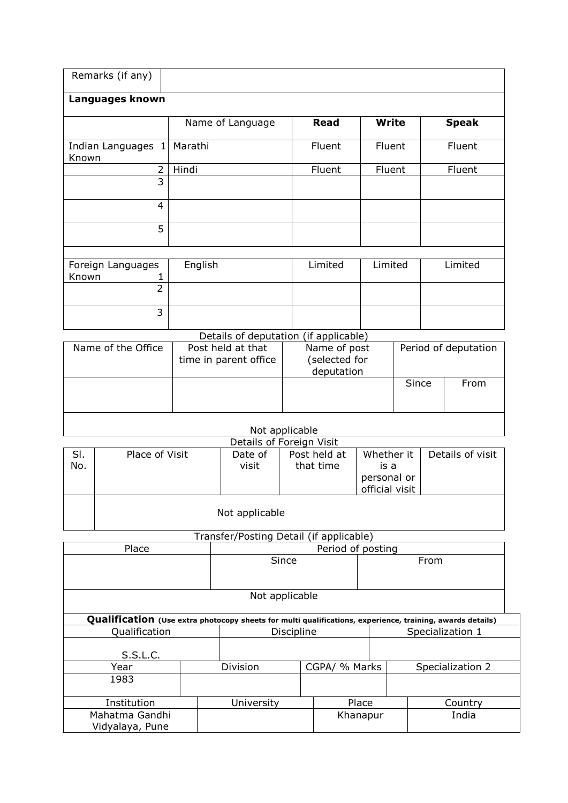|            | Remarks (if any)                                                                                          |         |                                            |                                                                |                      |                |                  |                  |  |  |
|------------|-----------------------------------------------------------------------------------------------------------|---------|--------------------------------------------|----------------------------------------------------------------|----------------------|----------------|------------------|------------------|--|--|
|            | Languages known                                                                                           |         |                                            |                                                                |                      |                |                  |                  |  |  |
|            |                                                                                                           |         | Name of Language                           | <b>Read</b>                                                    |                      | <b>Write</b>   |                  | <b>Speak</b>     |  |  |
| Known      | Indian Languages 1                                                                                        | Marathi |                                            | Fluent                                                         |                      | Fluent         |                  | Fluent           |  |  |
|            | $\overline{2}$                                                                                            | Hindi   |                                            | Fluent                                                         |                      | Fluent         |                  | Fluent           |  |  |
|            | $\overline{3}$                                                                                            |         |                                            |                                                                |                      |                |                  |                  |  |  |
|            | 4                                                                                                         |         |                                            |                                                                |                      |                |                  |                  |  |  |
|            | 5                                                                                                         |         |                                            |                                                                |                      |                |                  |                  |  |  |
| Known      | Foreign Languages                                                                                         | English |                                            | Limited                                                        | Limited              |                | Limited          |                  |  |  |
|            | 1<br>$\overline{2}$                                                                                       |         |                                            |                                                                |                      |                |                  |                  |  |  |
|            | 3                                                                                                         |         |                                            |                                                                |                      |                |                  |                  |  |  |
|            |                                                                                                           |         | Details of deputation (if applicable)      |                                                                |                      |                |                  |                  |  |  |
|            | Name of the Office                                                                                        |         | Post held at that<br>time in parent office | Name of post<br>(selected for<br>deputation                    | Period of deputation |                |                  |                  |  |  |
|            |                                                                                                           |         |                                            |                                                                |                      | Since          |                  | From             |  |  |
|            |                                                                                                           |         |                                            | Not applicable                                                 |                      |                |                  |                  |  |  |
|            |                                                                                                           |         |                                            | Details of Foreign Visit                                       |                      |                |                  |                  |  |  |
| SI.<br>No. | Place of Visit                                                                                            |         | Date of<br>visit                           | Post held at<br>Whether it<br>that time<br>is a<br>personal or |                      | official visit |                  | Details of visit |  |  |
|            | Not applicable                                                                                            |         |                                            |                                                                |                      |                |                  |                  |  |  |
|            | Transfer/Posting Detail (if applicable)                                                                   |         |                                            |                                                                |                      |                |                  |                  |  |  |
|            | Place                                                                                                     |         |                                            |                                                                | Period of posting    |                |                  |                  |  |  |
|            |                                                                                                           |         |                                            | Since                                                          |                      |                | From             |                  |  |  |
|            |                                                                                                           |         |                                            | Not applicable                                                 |                      |                |                  |                  |  |  |
|            | Qualification (Use extra photocopy sheets for multi qualifications, experience, training, awards details) |         |                                            |                                                                |                      |                |                  |                  |  |  |
|            | Qualification                                                                                             |         |                                            | Discipline                                                     |                      |                | Specialization 1 |                  |  |  |
|            | S.S.L.C.                                                                                                  |         |                                            |                                                                |                      |                |                  |                  |  |  |
|            | Year                                                                                                      |         | Division                                   |                                                                | CGPA/ % Marks        |                |                  | Specialization 2 |  |  |
|            | 1983                                                                                                      |         |                                            |                                                                |                      |                |                  |                  |  |  |

Institution University Place Country Mahatma Gandhi Vidyalaya, Pune Place Country<br>
Khanapur India